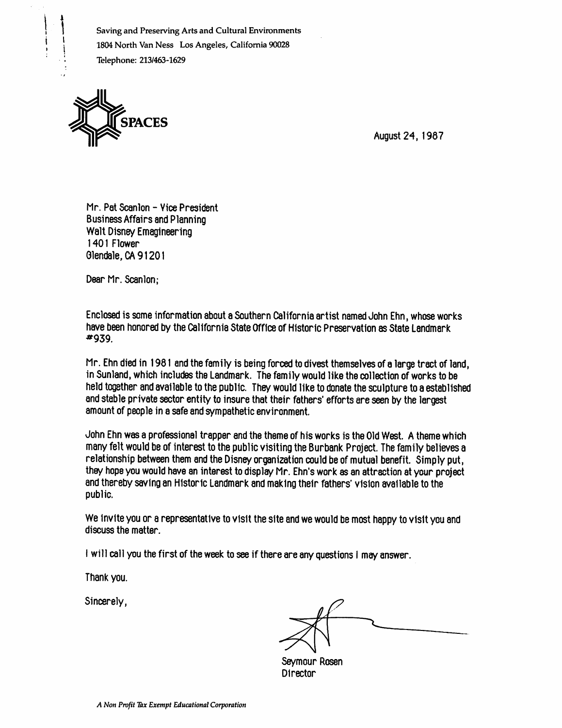Saving and Preserving Arts and Cultural Environments 1804 North Van Ness Los Angeles, California 90028 Telephone: 213/463-1629



August 24, 1987

Mr. Pat Scanlon - Vice President Business Affairs and Planning Walt Disney Emagineering 1401 Flower Glendale, CA 91201

Dear Mr. Scanlon;

Enclos«l is some information about a Southern California artist named John Ehn, whose works have been honored by the California State Office of Historic Preservation as State Landmark ^939.

Mr. Ehn died in 1981 and the family is being forced to divest themselves of a large tract of land, in Sunland, which includes the Landmark. The family would like the collection of works to be held together and available to the public. They would like to donate the sculpture to a established and stable private sector entity to insure that their fathers' efforts are seen by the largest amount of people in a safe and sympathetic environment.

John Ehn was a professional trapper and the theme of his works is the Old West. A theme which many felt would be of interest to the public visiting the Burbank Project. The family believes a relationship between them and the Disney organization could be of mutual benefit. Simply put, they hope you would have an interest to display Mr. Ehn's work as an attraction at your project and thereby saving an Historic Landmark and making their fathers' vision available to the public.

We invite you or a representative to visit the site and we would be most happy to visit you and discuss the matter.

I will call you the first of the week to see if there are any questions I may answer.

Thank you.

Sincerely,

Seymour Rosen Director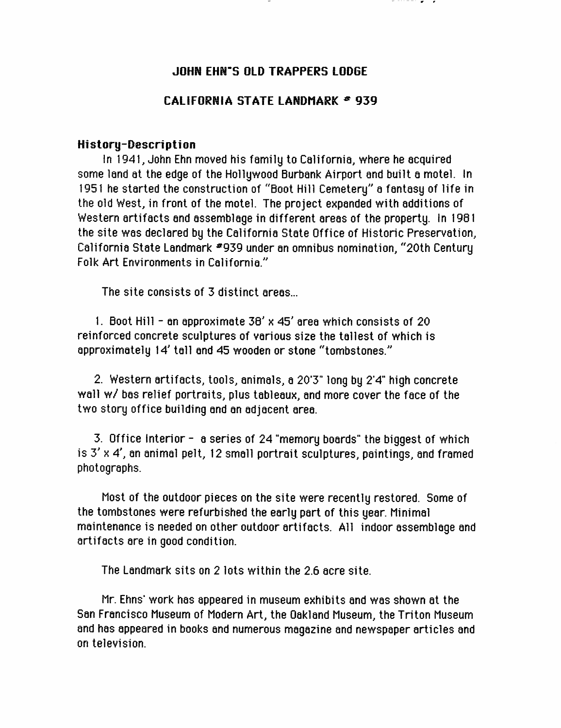## **JOHN EHN'S OLD TRAPPERS LODGE**

## CALIFORNIA STATE LANDMARK  $*$  939

## History-Description

In 1941, John Ehn moved his family to California, where he acquired some land at the edge of the Hollywood Burbank Airport and built a motel. In 1951 he started the construction of "Boot Hill Cemetery" a fantasy of life in the old West, in front of the motel. The project expanded with additions of Western artifacts and assemblage in different areas of the property. In 1981 the site was declared by the California State Office of Historic Preservation, California State Landmark \*939 under an omnibus nomination, "20th Century Folk Art Environments in California."

The site consists of 3 distinct areas...

1. Boot Hill - an approximate 36' x 45' area which consists of 20 reinforced concrete sculptures of various size the tallest of which is approximately 14' tall and 45 wooden or stone "tombstones."

2. Western artifacts, tools, animals, a 20'3" long by 2'4" high concrete wall w/ bas relief portraits, plus tableaux, and more cover the face of the two story office building and an adjacent area.

3. Office Interior - a series of 24 "memory boards" the biggest of which is  $3' \times 4'$ , an animal pelt, 12 small portrait sculptures, paintings, and framed photographs.

Most of the outdoor pieces on the site were recently restored. Some of the tombstones were refurbished the early part of this year Minimal maintenance is needed on other outdoor artifacts. All indoor assemblage and artifacts are in good condition.

The Landmark sits on 2 lots within the 2.6 acre site.

Mr. Ehns' work has appeared in museum exhibits and was shown at the San Francisco Museum of Modern Art, the Oakland Museum, the Triton Museum and has appeared in books and numerous magazine and newspaper articles and on television.